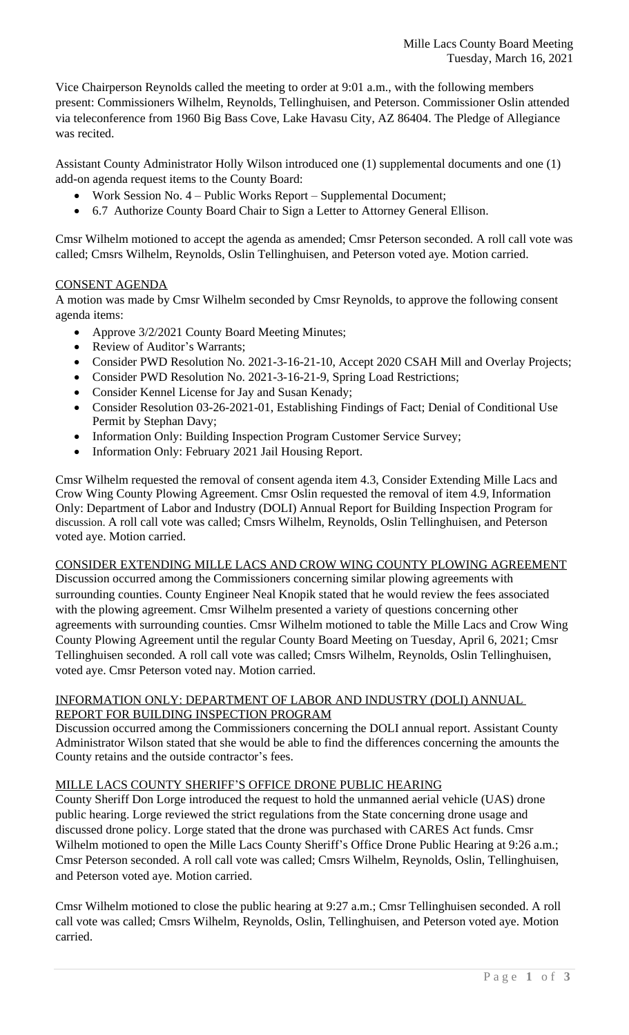Vice Chairperson Reynolds called the meeting to order at 9:01 a.m., with the following members present: Commissioners Wilhelm, Reynolds, Tellinghuisen, and Peterson. Commissioner Oslin attended via teleconference from 1960 Big Bass Cove, Lake Havasu City, AZ 86404. The Pledge of Allegiance was recited.

Assistant County Administrator Holly Wilson introduced one (1) supplemental documents and one (1) add-on agenda request items to the County Board:

- Work Session No. 4 Public Works Report Supplemental Document;
- 6.7 Authorize County Board Chair to Sign a Letter to Attorney General Ellison.

Cmsr Wilhelm motioned to accept the agenda as amended; Cmsr Peterson seconded. A roll call vote was called; Cmsrs Wilhelm, Reynolds, Oslin Tellinghuisen, and Peterson voted aye. Motion carried.

## CONSENT AGENDA

A motion was made by Cmsr Wilhelm seconded by Cmsr Reynolds, to approve the following consent agenda items:

- Approve 3/2/2021 County Board Meeting Minutes;
- Review of Auditor's Warrants;
- Consider PWD Resolution No. 2021-3-16-21-10, Accept 2020 CSAH Mill and Overlay Projects;
- Consider PWD Resolution No. 2021-3-16-21-9, Spring Load Restrictions;
- Consider Kennel License for Jay and Susan Kenady;
- Consider Resolution 03-26-2021-01, Establishing Findings of Fact; Denial of Conditional Use Permit by Stephan Davy;
- Information Only: Building Inspection Program Customer Service Survey;
- Information Only: February 2021 Jail Housing Report.

Cmsr Wilhelm requested the removal of consent agenda item 4.3, Consider Extending Mille Lacs and Crow Wing County Plowing Agreement. Cmsr Oslin requested the removal of item 4.9, Information Only: Department of Labor and Industry (DOLI) Annual Report for Building Inspection Program for discussion. A roll call vote was called; Cmsrs Wilhelm, Reynolds, Oslin Tellinghuisen, and Peterson voted aye. Motion carried.

#### CONSIDER EXTENDING MILLE LACS AND CROW WING COUNTY PLOWING AGREEMENT

Discussion occurred among the Commissioners concerning similar plowing agreements with surrounding counties. County Engineer Neal Knopik stated that he would review the fees associated with the plowing agreement. Cmsr Wilhelm presented a variety of questions concerning other agreements with surrounding counties. Cmsr Wilhelm motioned to table the Mille Lacs and Crow Wing County Plowing Agreement until the regular County Board Meeting on Tuesday, April 6, 2021; Cmsr Tellinghuisen seconded. A roll call vote was called; Cmsrs Wilhelm, Reynolds, Oslin Tellinghuisen, voted aye. Cmsr Peterson voted nay. Motion carried.

### INFORMATION ONLY: DEPARTMENT OF LABOR AND INDUSTRY (DOLI) ANNUAL REPORT FOR BUILDING INSPECTION PROGRAM

Discussion occurred among the Commissioners concerning the DOLI annual report. Assistant County Administrator Wilson stated that she would be able to find the differences concerning the amounts the County retains and the outside contractor's fees.

#### MILLE LACS COUNTY SHERIFF'S OFFICE DRONE PUBLIC HEARING

County Sheriff Don Lorge introduced the request to hold the unmanned aerial vehicle (UAS) drone public hearing. Lorge reviewed the strict regulations from the State concerning drone usage and discussed drone policy. Lorge stated that the drone was purchased with CARES Act funds. Cmsr Wilhelm motioned to open the Mille Lacs County Sheriff's Office Drone Public Hearing at 9:26 a.m.; Cmsr Peterson seconded. A roll call vote was called; Cmsrs Wilhelm, Reynolds, Oslin, Tellinghuisen, and Peterson voted aye. Motion carried.

Cmsr Wilhelm motioned to close the public hearing at 9:27 a.m.; Cmsr Tellinghuisen seconded. A roll call vote was called; Cmsrs Wilhelm, Reynolds, Oslin, Tellinghuisen, and Peterson voted aye. Motion carried.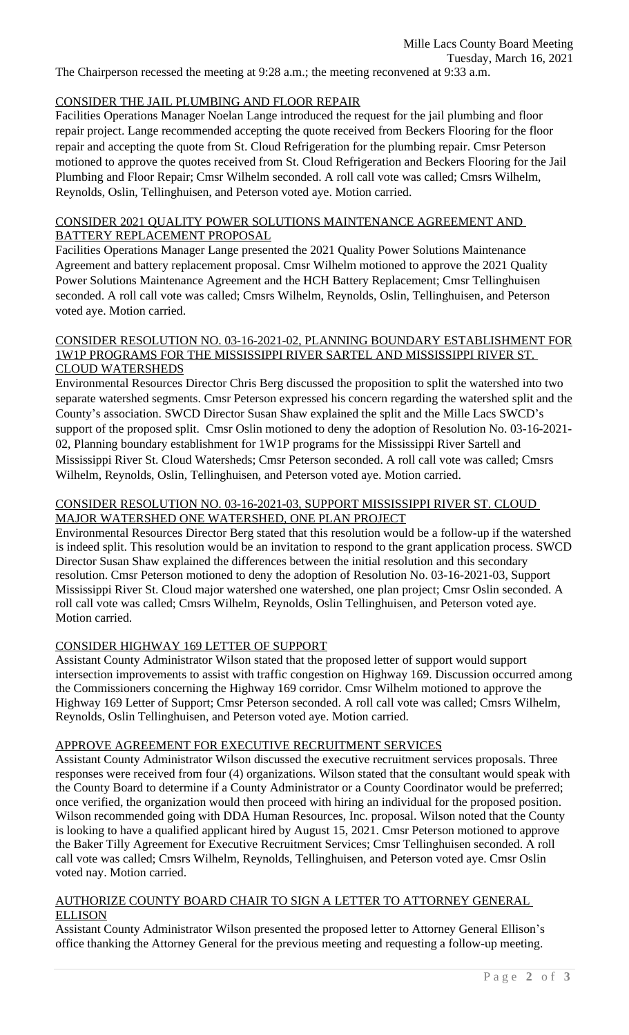The Chairperson recessed the meeting at 9:28 a.m.; the meeting reconvened at 9:33 a.m.

## CONSIDER THE JAIL PLUMBING AND FLOOR REPAIR

Facilities Operations Manager Noelan Lange introduced the request for the jail plumbing and floor repair project. Lange recommended accepting the quote received from Beckers Flooring for the floor repair and accepting the quote from St. Cloud Refrigeration for the plumbing repair. Cmsr Peterson motioned to approve the quotes received from St. Cloud Refrigeration and Beckers Flooring for the Jail Plumbing and Floor Repair; Cmsr Wilhelm seconded. A roll call vote was called; Cmsrs Wilhelm, Reynolds, Oslin, Tellinghuisen, and Peterson voted aye. Motion carried.

### CONSIDER 2021 QUALITY POWER SOLUTIONS MAINTENANCE AGREEMENT AND BATTERY REPLACEMENT PROPOSAL

Facilities Operations Manager Lange presented the 2021 Quality Power Solutions Maintenance Agreement and battery replacement proposal. Cmsr Wilhelm motioned to approve the 2021 Quality Power Solutions Maintenance Agreement and the HCH Battery Replacement; Cmsr Tellinghuisen seconded. A roll call vote was called; Cmsrs Wilhelm, Reynolds, Oslin, Tellinghuisen, and Peterson voted aye. Motion carried.

#### CONSIDER RESOLUTION NO. 03-16-2021-02, PLANNING BOUNDARY ESTABLISHMENT FOR 1W1P PROGRAMS FOR THE MISSISSIPPI RIVER SARTEL AND MISSISSIPPI RIVER ST. CLOUD WATERSHEDS

Environmental Resources Director Chris Berg discussed the proposition to split the watershed into two separate watershed segments. Cmsr Peterson expressed his concern regarding the watershed split and the County's association. SWCD Director Susan Shaw explained the split and the Mille Lacs SWCD's support of the proposed split. Cmsr Oslin motioned to deny the adoption of Resolution No. 03-16-2021- 02, Planning boundary establishment for 1W1P programs for the Mississippi River Sartell and Mississippi River St. Cloud Watersheds; Cmsr Peterson seconded. A roll call vote was called; Cmsrs Wilhelm, Reynolds, Oslin, Tellinghuisen, and Peterson voted aye. Motion carried.

## CONSIDER RESOLUTION NO. 03-16-2021-03, SUPPORT MISSISSIPPI RIVER ST. CLOUD MAJOR WATERSHED ONE WATERSHED, ONE PLAN PROJECT

Environmental Resources Director Berg stated that this resolution would be a follow-up if the watershed is indeed split. This resolution would be an invitation to respond to the grant application process. SWCD Director Susan Shaw explained the differences between the initial resolution and this secondary resolution. Cmsr Peterson motioned to deny the adoption of Resolution No. 03-16-2021-03, Support Mississippi River St. Cloud major watershed one watershed, one plan project; Cmsr Oslin seconded. A roll call vote was called; Cmsrs Wilhelm, Reynolds, Oslin Tellinghuisen, and Peterson voted aye. Motion carried.

## CONSIDER HIGHWAY 169 LETTER OF SUPPORT

Assistant County Administrator Wilson stated that the proposed letter of support would support intersection improvements to assist with traffic congestion on Highway 169. Discussion occurred among the Commissioners concerning the Highway 169 corridor. Cmsr Wilhelm motioned to approve the Highway 169 Letter of Support; Cmsr Peterson seconded. A roll call vote was called; Cmsrs Wilhelm, Reynolds, Oslin Tellinghuisen, and Peterson voted aye. Motion carried.

## APPROVE AGREEMENT FOR EXECUTIVE RECRUITMENT SERVICES

Assistant County Administrator Wilson discussed the executive recruitment services proposals. Three responses were received from four (4) organizations. Wilson stated that the consultant would speak with the County Board to determine if a County Administrator or a County Coordinator would be preferred; once verified, the organization would then proceed with hiring an individual for the proposed position. Wilson recommended going with DDA Human Resources, Inc. proposal. Wilson noted that the County is looking to have a qualified applicant hired by August 15, 2021. Cmsr Peterson motioned to approve the Baker Tilly Agreement for Executive Recruitment Services; Cmsr Tellinghuisen seconded. A roll call vote was called; Cmsrs Wilhelm, Reynolds, Tellinghuisen, and Peterson voted aye. Cmsr Oslin voted nay. Motion carried.

#### AUTHORIZE COUNTY BOARD CHAIR TO SIGN A LETTER TO ATTORNEY GENERAL ELLISON

Assistant County Administrator Wilson presented the proposed letter to Attorney General Ellison's office thanking the Attorney General for the previous meeting and requesting a follow-up meeting.